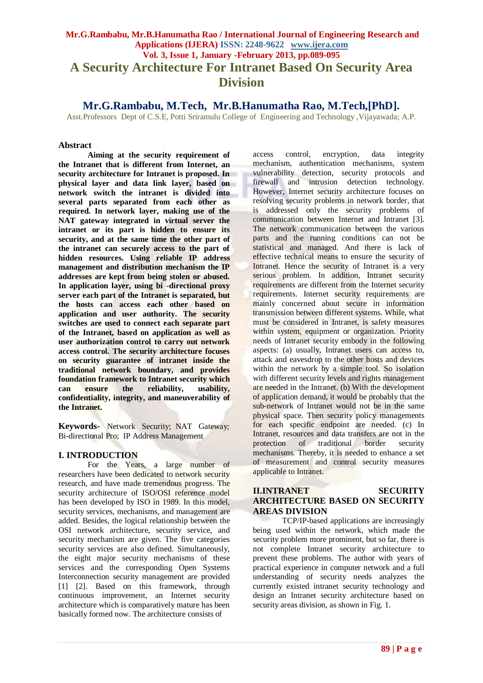# **Mr.G.Rambabu, Mr.B.Hanumatha Rao / International Journal of Engineering Research and Applications (IJERA) ISSN: 2248-9622 www.ijera.com Vol. 3, Issue 1, January -February 2013, pp.089-095 A Security Architecture For Intranet Based On Security Area Division**

**Mr.G.Rambabu, M.Tech, Mr.B.Hanumatha Rao, M.Tech,[PhD].**

Asst.Professors Dept of C.S.E, Potti Sriramulu College of Engineering and Technology ,Vijayawada; A.P.

#### **Abstract**

**Aiming at the security requirement of the Intranet that is different from Internet, an security architecture for Intranet is proposed. In physical layer and data link layer, based on network switch the intranet is divided into several parts separated from each other as required. In network layer, making use of the NAT gateway integrated in virtual server the intranet or its part is hidden to ensure its security, and at the same time the other part of the intranet can securely access to the part of hidden resources. Using reliable IP address management and distribution mechanism the IP addresses are kept from being stolen or abused. In application layer, using bi -directional proxy server each part of the Intranet is separated, but the hosts can access each other based on application and user authority. The security switches are used to connect each separate part of the Intranet, based on application as well as user authorization control to carry out network access control. The security architecture focuses on security guarantee of intranet inside the traditional network boundary, and provides foundation framework to Intranet security which can ensure the reliability, usability, confidentiality, integrity, and maneuverability of the Intranet.**

**Keywords-**Network Security; NAT Gateway; Bi-directional Pro; IP Address Management

#### **I. INTRODUCTION**

For the Years, a large number of researchers have been dedicated to network security research, and have made tremendous progress. The security architecture of ISO/OSI reference model has been developed by ISO in 1989. In this model, security services, mechanisms, and management are added. Besides, the logical relationship between the OSI network architecture, security service, and security mechanism are given. The five categories security services are also defined. Simultaneously, the eight major security mechanisms of these services and the corresponding Open Systems Interconnection security management are provided [1] [2]. Based on this framework, through continuous improvement, an Internet security architecture which is comparatively mature has been basically formed now. The architecture consists of

access control, encryption, data integrity mechanism, authentication mechanisms, system vulnerability detection, security protocols and firewall and intrusion detection technology. However, Internet security architecture focuses on resolving security problems in network border, that is addressed only the security problems of communication between Internet and Intranet [3]. The network communication between the various parts and the running conditions can not be statistical and managed. And there is lack of effective technical means to ensure the security of Intranet. Hence the security of Intranet is a very serious problem. In addition, Intranet security requirements are different from the Internet security requirements. Internet security requirements are mainly concerned about secure in information transmission between different systems. While, what must be considered in Intranet, is safety measures within system, equipment or organization. Priority needs of Intranet security embody in the following aspects: (a) usually, Intranet users can access to, attack and eavesdrop to the other hosts and devices within the network by a simple tool. So isolation with different security levels and rights management are needed in the Intranet. (b) With the development of application demand, it would be probably that the sub-network of Intranet would not be in the same physical space. Then security policy managements for each specific endpoint are needed. (c) In Intranet, resources and data transfers are not in the protection of traditional border security mechanisms. Thereby, it is needed to enhance a set of measurement and control security measures applicable to Intranet.

#### **II.INTRANET SECURITY ARCHITECTURE BASED ON SECURITY AREAS DIVISION**

TCP/IP-based applications are increasingly being used within the network, which made the security problem more prominent, but so far, there is not complete Intranet security architecture to prevent these problems. The author with years of practical experience in computer network and a full understanding of security needs analyzes the currently existed intranet security technology and design an Intranet security architecture based on security areas division, as shown in Fig. 1.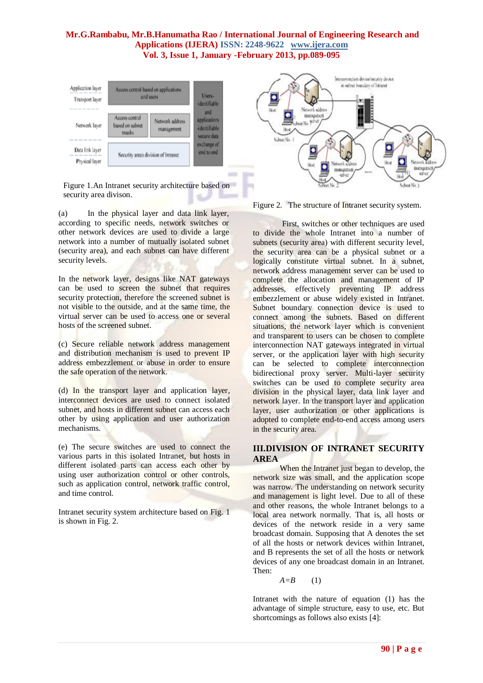

Figure 1.An Intranet security architecture based on security area divison.

(a) In the physical layer and data link layer, according to specific needs, network switches or other network devices are used to divide a large network into a number of mutually isolated subnet (security area), and each subnet can have different security levels.

In the network layer, designs like NAT gateways can be used to screen the subnet that requires security protection, therefore the screened subnet is not visible to the outside, and at the same time, the virtual server can be used to access one or several hosts of the screened subnet.

(c) Secure reliable network address management and distribution mechanism is used to prevent IP address embezzlement or abuse in order to ensure the safe operation of the network.

(d) In the transport layer and application layer, interconnect devices are used to connect isolated subnet, and hosts in different subnet can access each other by using application and user authorization mechanisms.

(e) The secure switches are used to connect the various parts in this isolated Intranet, but hosts in different isolated parts can access each other by using user authorization control or other controls, such as application control, network traffic control, and time control.

Intranet security system architecture based on Fig. 1 is shown in Fig. 2.



Figure 2. The structure of Intranet security system.

First, switches or other techniques are used to divide the whole Intranet into a number of subnets (security area) with different security level, the security area can be a physical subnet or a logically constitute virtual subnet. In a subnet, network address management server can be used to complete the allocation and management of IP addresses, effectively preventing IP address embezzlement or abuse widely existed in Intranet. Subnet boundary connection device is used to connect among the subnets. Based on different situations, the network layer which is convenient and transparent to users can be chosen to complete interconnection NAT gateways integrated in virtual server, or the application layer with high security can be selected to complete interconnection bidirectional proxy server. Multi-layer security switches can be used to complete security area division in the physical layer, data link layer and network layer. In the transport layer and application layer, user authorization or other applications is adopted to complete end-to-end access among users in the security area.

## **III.DIVISION OF INTRANET SECURITY AREA**

When the Intranet just began to develop, the network size was small, and the application scope was narrow. The understanding on network security and management is light level. Due to all of these and other reasons, the whole Intranet belongs to a local area network normally. That is, all hosts or devices of the network reside in a very same broadcast domain. Supposing that A denotes the set of all the hosts or network devices within Intranet, and B represents the set of all the hosts or network devices of any one broadcast domain in an Intranet. Then:

*A=B* (1)

Intranet with the nature of equation (1) has the advantage of simple structure, easy to use, etc. But shortcomings as follows also exists [4]: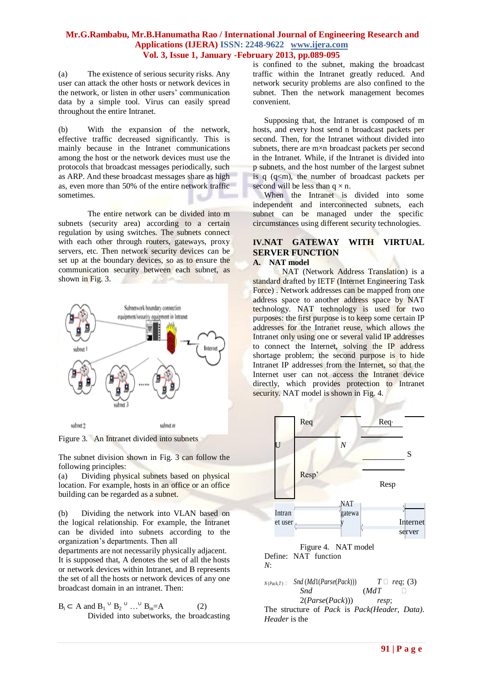(a) The existence of serious security risks. Any user can attack the other hosts or network devices in the network, or listen in other users' communication data by a simple tool. Virus can easily spread throughout the entire Intranet.

(b) With the expansion of the network, effective traffic decreased significantly. This is mainly because in the Intranet communications among the host or the network devices must use the protocols that broadcast messages periodically, such as ARP. And these broadcast messages share as high as, even more than 50% of the entire network traffic sometimes.

The entire network can be divided into m subnets (security area) according to a certain regulation by using switches. The subnets connect with each other through routers, gateways, proxy servers, etc. Then network security devices can be set up at the boundary devices, so as to ensure the communication security between each subnet, as shown in Fig. 3.



Figure 3. An Intranet divided into subnets

The subnet division shown in Fig. 3 can follow the following principles:

(a) Dividing physical subnets based on physical location. For example, hosts in an office or an office building can be regarded as a subnet.

(b) Dividing the network into VLAN based on the logical relationship. For example, the Intranet can be divided into subnets according to the organization's departments. Then all

departments are not necessarily physically adjacent. It is supposed that, A denotes the set of all the hosts or network devices within Intranet, and B represents the set of all the hosts or network devices of any one broadcast domain in an intranet. Then:

$$
B_i \subset A \text{ and } B_1 \cup B_2 \cup ... \cup B_m = A
$$
 (2)  
Divided into subetworks, the broadcasting

is confined to the subnet, making the broadcast traffic within the Intranet greatly reduced. And network security problems are also confined to the subnet. Then the network management becomes convenient.

Supposing that, the Intranet is composed of m hosts, and every host send n broadcast packets per second. Then, for the Intranet without divided into subnets, there are m×n broadcast packets per second in the Intranet. While, if the Intranet is divided into p subnets, and the host number of the largest subnet is  $q \text{ (q} \leq m)$ , the number of broadcast packets per second will be less than  $q \times n$ .

When the Intranet is divided into some independent and interconnected subnets, each subnet can be managed under the specific circumstances using different security technologies.

## **IV.NAT GATEWAY WITH VIRTUAL SERVER FUNCTION**

#### **A. NAT model**

NAT (Network Address Translation) is a standard drafted by IETF (Internet Engineering Task Force) . Network addresses can be mapped from one address space to another address space by NAT technology. NAT technology is used for two purposes: the first purpose is to keep some certain IP addresses for the Intranet reuse, which allows the Intranet only using one or several valid IP addresses to connect the Internet, solving the IP address shortage problem; the second purpose is to hide Intranet IP addresses from the Internet, so that the Internet user can not access the Intranet device directly, which provides protection to Intranet security. NAT model is shown in Fig. 4.



Define: NAT function *N*:

*N*(*Pack,T*)  $\Box$  *Snd*(*Md*1(*Parse*(*Pack*))) *T*  $\Box$  *req*; (3) *Snd* (*MdT*) 2(*Parse*(*Pack*)))  $\Box$ *resp*;

The structure of *Pack* is *Pack(Header, Data)*. *Header* is the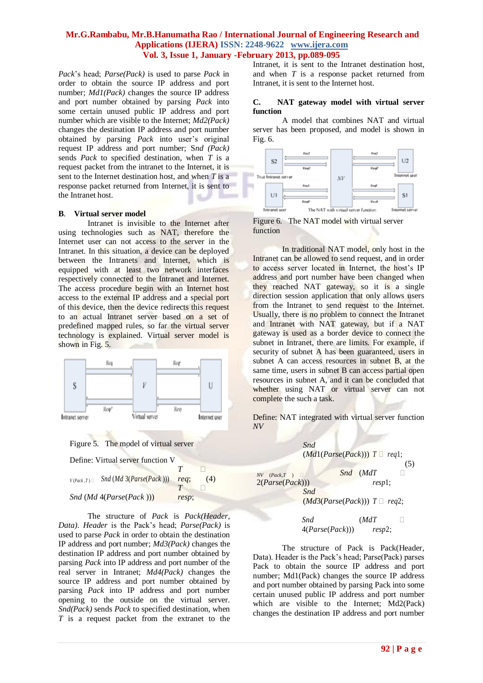*Pack*'s head; *Parse(Pack)* is used to parse *Pack* in order to obtain the source IP address and port number; *Md1(Pack)* changes the source IP address and port number obtained by parsing *Pack* into some certain unused public IP address and port number which are visible to the Internet; *Md2(Pack)* changes the destination IP address and port number obtained by parsing *Pack* into user's original request IP address and port number; S*nd (Pack)* sends *Pack* to specified destination, when *T* is a request packet from the intranet to the Internet, it is sent to the Internet destination host, and when *T* is a response packet returned from Internet, it is sent to the Intranet host.

#### **B***.* **Virtual server model**

Intranet is invisible to the Internet after using technologies such as NAT, therefore the Internet user can not access to the server in the Intranet. In this situation, a device can be deployed between the Intranets and Internet, which is equipped with at least two network interfaces respectively connected to the Intranet and Internet. The access procedure begin with an Internet host access to the external IP address and a special port of this device, then the device redirects this request to an actual Intranet server based on a set of predefined mapped rules, so far the virtual server technology is explained. Virtual server model is shown in Fig. 5.





Define: Virtual server function V

| V(Pack,T)                                                | $Snd$ ( <i>Md</i> $3(Parse(Pack))$ ) | req:  | (4) |
|----------------------------------------------------------|--------------------------------------|-------|-----|
|                                                          |                                      |       |     |
| <i>Snd</i> ( <i>Md</i> 4( <i>Parse</i> ( <i>Pack</i> ))) |                                      | resp: |     |

The structure of *Pack* is *Pack(Header, Data)*. *Header* is the Pack's head; *Parse(Pack)* is used to parse *Pack* in order to obtain the destination IP address and port number; *Md3(Pack)* changes the destination IP address and port number obtained by parsing *Pack* into IP address and port number of the real server in Intranet; *Md4(Pack)* changes the source IP address and port number obtained by parsing *Pack* into IP address and port number opening to the outside on the virtual server. *Snd(Pack)* sends *Pack* to specified destination, when *T* is a request packet from the extranet to the

Intranet, it is sent to the Intranet destination host, and when *T* is a response packet returned from Intranet, it is sent to the Internet host.

#### **C. NAT gateway model with virtual server function**

A model that combines NAT and virtual server has been proposed, and model is shown in Fig. 6.



Figure 6. The NAT model with virtual server function

In traditional NAT model, only host in the Intranet can be allowed to send request, and in order to access server located in Internet, the host's IP address and port number have been changed when they reached NAT gateway, so it is a single direction session application that only allows users from the Intranet to send request to the Internet. Usually, there is no problem to connect the Intranet and Intranet with NAT gateway, but if a NAT gateway is used as a border device to connect the subnet in Intranet, there are limits. For example, if security of subnet A has been guaranteed, users in subnet A can access resources in subnet B, at the same time, users in subnet B can access partial open resources in subnet A, and it can be concluded that whether using NAT or virtual server can not complete the such a task.

Define: NAT integrated with virtual server function *NV*

| Snd                   |                                        |
|-----------------------|----------------------------------------|
|                       | $(Md1(Parse(Pack)))$ T $\Box$ reg1;    |
|                       | (5)                                    |
| $NV$ (Pack, T) $\Box$ | Snd (MdT                               |
| 2(Parse(Pack))        | resp1;                                 |
| Snd                   |                                        |
|                       | $(Md3(Parse(Pack)))$ $T \square$ req2; |
|                       |                                        |
| Snd                   | (MdT)                                  |
|                       | 4(Parse(Pack))<br>resp2;               |

The structure of Pack is Pack(Header, Data). Header is the Pack's head; Parse(Pack) parses Pack to obtain the source IP address and port number; Md1(Pack) changes the source IP address and port number obtained by parsing Pack into some certain unused public IP address and port number which are visible to the Internet; Md2(Pack) changes the destination IP address and port number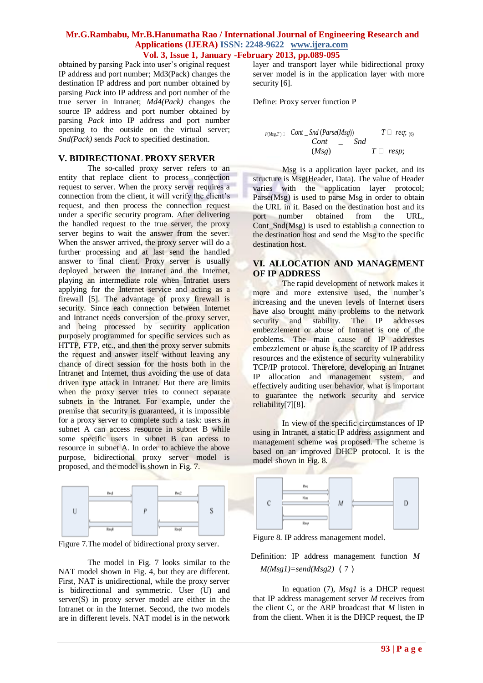obtained by parsing Pack into user's original request IP address and port number; Md3(Pack) changes the destination IP address and port number obtained by parsing *Pack* into IP address and port number of the true server in Intranet; *Md4(Pack)* changes the source IP address and port number obtained by parsing *Pack* into IP address and port number opening to the outside on the virtual server; *Snd(Pack)* sends *Pack* to specified destination.

## **V. BIDIRECTIONAL PROXY SERVER**

The so-called proxy server refers to an entity that replace client to process connection request to server. When the proxy server requires a connection from the client, it will verify the client's request, and then process the connection request under a specific security program. After delivering the handled request to the true server, the proxy server begins to wait the answer from the sever. When the answer arrived, the proxy server will do a further processing and at last send the handled answer to final client. Proxy server is usually deployed between the Intranet and the Internet, playing an intermediate role when Intranet users applying for the Internet service and acting as a firewall [5]. The advantage of proxy firewall is security. Since each connection between Internet and Intranet needs conversion of the proxy server, and being processed by security application purposely programmed for specific services such as HTTP, FTP, etc., and then the proxy server submits the request and answer itself without leaving any chance of direct session for the hosts both in the Intranet and Internet, thus avoiding the use of data driven type attack in Intranet. But there are limits when the proxy server tries to connect separate subnets in the Intranet. For example, under the premise that security is guaranteed, it is impossible for a proxy server to complete such a task: users in subnet A can access resource in subnet B while some specific users in subnet B can access to resource in subnet A. In order to achieve the above purpose, bidirectional proxy server model is proposed, and the model is shown in Fig. 7.



Figure 7.The model of bidirectional proxy server.

The model in Fig. 7 looks similar to the NAT model shown in Fig. 4, but they are different. First, NAT is unidirectional, while the proxy server is bidirectional and symmetric. User (U) and server $(S)$  in proxy server model are either in the Intranet or in the Internet. Second, the two models are in different levels. NAT model is in the network layer and transport layer while bidirectional proxy server model is in the application layer with more security [6].

Define: Proxy server function P

$$
\begin{array}{cc}\nP(Msg,T) \sqcup & Cont\_Snd\ (Parse(Msg)) & T \sqcup \ reg; \ _{(6)} \\ Cont & - & Snd \\ (Msg) & T \sqcup \ resp; \end{array}
$$

Msg is a application layer packet, and its structure is Msg(Header, Data). The value of Header varies with the application layer protocol; Parse(Msg) is used to parse Msg in order to obtain the URL in it. Based on the destination host and its port number obtained from the URL, Cont Snd(Msg) is used to establish a connection to the destination host and send the Msg to the specific destination host.

## **VI. ALLOCATION AND MANAGEMENT OF IP ADDRESS**

The rapid development of network makes it more and more extensive used, the number's increasing and the uneven levels of Internet users have also brought many problems to the network security and stability. The IP addresses embezzlement or abuse of Intranet is one of the problems. The main cause of IP addresses embezzlement or abuse is the scarcity of IP address resources and the existence of security vulnerability TCP/IP protocol. Therefore, developing an Intranet IP allocation and management system, and effectively auditing user behavior, what is important to guarantee the network security and service reliability[7][8].

In view of the specific circumstances of IP using in Intranet, a static IP address assignment and management scheme was proposed. The scheme is based on an improved DHCP protocol. It is the model shown in Fig. 8.



Figure 8. IP address management model.

Definition: IP address management function *M M(Msg1)=send(Msg2)* (7)

In equation (7), *Msg1* is a DHCP request that IP address management server *M* receives from the client C, or the ARP broadcast that *M* listen in from the client. When it is the DHCP request, the IP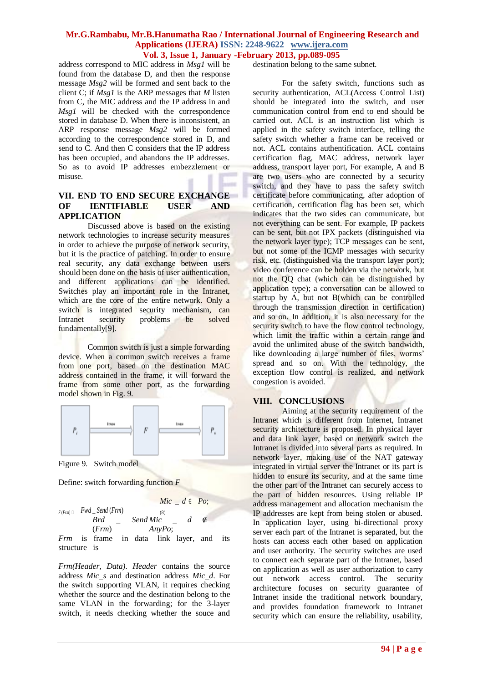address correspond to MIC address in *Msg1* will be found from the database D, and then the response message *Msg2* will be formed and sent back to the client C; if *Msg1* is the ARP messages that *M* listen from C, the MIC address and the IP address in and *Msg1* will be checked with the correspondence stored in database D. When there is inconsistent, an ARP response message *Msg2* will be formed according to the correspondence stored in D, and send to C. And then C considers that the IP address has been occupied, and abandons the IP addresses. So as to avoid IP addresses embezzlement or misuse.

## **VII. END TO END SECURE EXCHANGE OF IENTIFIABLE USER AND APPLICATION**

Discussed above is based on the existing network technologies to increase security measures in order to achieve the purpose of network security, but it is the practice of patching. In order to ensure real security, any data exchange between users should been done on the basis of user authentication, and different applications can be identified. Switches play an important role in the Intranet, which are the core of the entire network. Only a switch is integrated security mechanism, can Intranet security problems be solved fundamentally[9].

Common switch is just a simple forwarding device. When a common switch receives a frame from one port, based on the destination MAC address contained in the frame, it will forward the frame from some other port, as the forwarding model shown in Fig. 9.



Figure 9. Switch model

Define: switch forwarding function *F*

 $F(Frm) \Box$   $Fwd \Box$  *Send* (*Frm*) *Mic*  $d \in Po;$ (8) *Brd* \_ *Send Mic* \_ *d* ∉ (*Frm*) *AnyPo*; *Frm* is frame in data link layer, and its

structure is

*Frm(Header, Data)*. *Header* contains the source address *Mic\_s* and destination address *Mic\_d*. For the switch supporting VLAN, it requires checking whether the source and the destination belong to the same VLAN in the forwarding; for the 3-layer switch, it needs checking whether the souce and destination belong to the same subnet.

For the safety switch, functions such as security authentication, ACL(Access Control List) should be integrated into the switch, and user communication control from end to end should be carried out. ACL is an instruction list which is applied in the safety switch interface, telling the safety switch whether a frame can be received or not. ACL contains authentification. ACL contains certification flag, MAC address, network layer address, transport layer port, For example, A and B are two users who are connected by a security switch, and they have to pass the safety switch certificate before communicating, after adoption of certification, certification flag has been set, which indicates that the two sides can communicate, but not everything can be sent. For example, IP packets can be sent, but not IPX packets (distinguished via the network layer type); TCP messages can be sent, but not some of the ICMP messages with security risk, etc. (distinguished via the transport layer port); video conference can be holden via the network, but not the QQ chat (which can be distinguished by application type); a conversation can be allowed to startup by A, but not B(which can be controlled through the transmission direction in certification) and so on. In addition, it is also necessary for the security switch to have the flow control technology, which limit the traffic within a certain range and avoid the unlimited abuse of the switch bandwidth, like downloading a large number of files, worms' spread and so on. With the technology, the exception flow control is realized, and network congestion is avoided.

#### **VIII. CONCLUSIONS**

Aiming at the security requirement of the Intranet which is different from Internet, Intranet security architecture is proposed. In physical layer and data link layer, based on network switch the Intranet is divided into several parts as required. In network layer, making use of the NAT gateway integrated in virtual server the Intranet or its part is hidden to ensure its security, and at the same time the other part of the Intranet can securely access to the part of hidden resources. Using reliable IP address management and allocation mechanism the IP addresses are kept from being stolen or abused. In application layer, using bi-directional proxy server each part of the Intranet is separated, but the hosts can access each other based on application and user authority. The security switches are used to connect each separate part of the Intranet, based on application as well as user authorization to carry out network access control. The security architecture focuses on security guarantee of Intranet inside the traditional network boundary, and provides foundation framework to Intranet security which can ensure the reliability, usability,